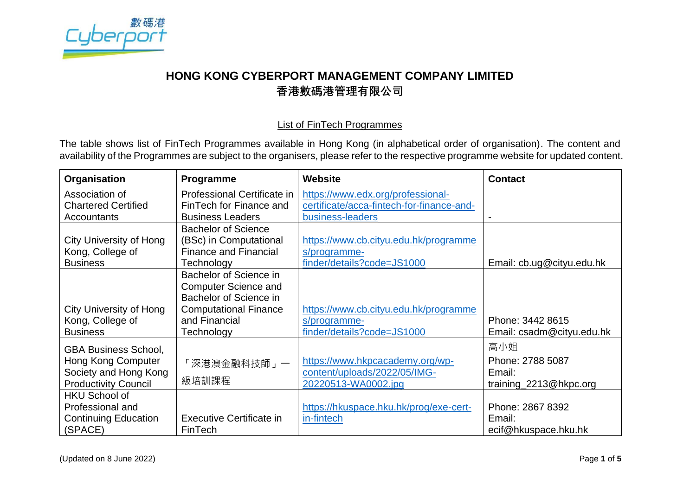

## **HONG KONG CYBERPORT MANAGEMENT COMPANY LIMITED 香港數碼港管理有限公司**

## List of FinTech Programmes

The table shows list of FinTech Programmes available in Hong Kong (in alphabetical order of organisation). The content and availability of the Programmes are subject to the organisers, please refer to the respective programme website for updated content.

| Organisation                | <b>Programme</b>                | <b>Website</b>                            | <b>Contact</b>            |
|-----------------------------|---------------------------------|-------------------------------------------|---------------------------|
| Association of              | Professional Certificate in     | https://www.edx.org/professional-         |                           |
| <b>Chartered Certified</b>  | FinTech for Finance and         | certificate/acca-fintech-for-finance-and- |                           |
| <b>Accountants</b>          | <b>Business Leaders</b>         | business-leaders                          | $\overline{\phantom{0}}$  |
|                             | <b>Bachelor of Science</b>      |                                           |                           |
| City University of Hong     | (BSc) in Computational          | https://www.cb.cityu.edu.hk/programme     |                           |
| Kong, College of            | <b>Finance and Financial</b>    | s/programme-                              |                           |
| <b>Business</b>             | Technology                      | finder/details?code=JS1000                | Email: cb.ug@cityu.edu.hk |
|                             | Bachelor of Science in          |                                           |                           |
|                             | <b>Computer Science and</b>     |                                           |                           |
|                             | Bachelor of Science in          |                                           |                           |
| City University of Hong     | <b>Computational Finance</b>    | https://www.cb.cityu.edu.hk/programme     |                           |
| Kong, College of            | and Financial                   | s/programme-                              | Phone: 3442 8615          |
| <b>Business</b>             | Technology                      | finder/details?code=JS1000                | Email: csadm@cityu.edu.hk |
| <b>GBA Business School,</b> |                                 |                                           | 高小姐                       |
| <b>Hong Kong Computer</b>   | 深港澳金融科技師」一                      | https://www.hkpcacademy.org/wp-           | Phone: 2788 5087          |
| Society and Hong Kong       |                                 | content/uploads/2022/05/IMG-              | Email:                    |
| <b>Productivity Council</b> | 級培訓課程                           | 20220513-WA0002.jpg                       | training_2213@hkpc.org    |
| <b>HKU School of</b>        |                                 |                                           |                           |
| Professional and            |                                 | https://hkuspace.hku.hk/prog/exe-cert-    | Phone: 2867 8392          |
| <b>Continuing Education</b> | <b>Executive Certificate in</b> | in-fintech                                | Email:                    |
| (SPACE)                     | FinTech                         |                                           | ecif@hkuspace.hku.hk      |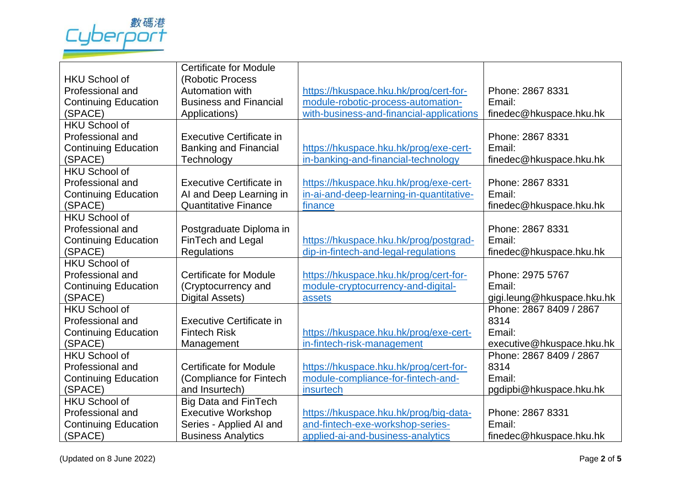

|                             | <b>Certificate for Module</b> |                                          |                            |
|-----------------------------|-------------------------------|------------------------------------------|----------------------------|
| <b>HKU School of</b>        | (Robotic Process              |                                          |                            |
| Professional and            | Automation with               | https://hkuspace.hku.hk/prog/cert-for-   | Phone: 2867 8331           |
| <b>Continuing Education</b> | <b>Business and Financial</b> | module-robotic-process-automation-       | Email:                     |
| (SPACE)                     | Applications)                 | with-business-and-financial-applications | finedec@hkuspace.hku.hk    |
| <b>HKU School of</b>        |                               |                                          |                            |
| Professional and            | Executive Certificate in      |                                          | Phone: 2867 8331           |
| <b>Continuing Education</b> | <b>Banking and Financial</b>  | https://hkuspace.hku.hk/prog/exe-cert-   | Email:                     |
| (SPACE)                     | Technology                    | in-banking-and-financial-technology      | finedec@hkuspace.hku.hk    |
| <b>HKU School of</b>        |                               |                                          |                            |
| Professional and            | Executive Certificate in      | https://hkuspace.hku.hk/prog/exe-cert-   | Phone: 2867 8331           |
| <b>Continuing Education</b> | AI and Deep Learning in       | in-ai-and-deep-learning-in-quantitative- | Email:                     |
| (SPACE)                     | <b>Quantitative Finance</b>   | finance                                  | finedec@hkuspace.hku.hk    |
| <b>HKU School of</b>        |                               |                                          |                            |
| Professional and            | Postgraduate Diploma in       |                                          | Phone: 2867 8331           |
| <b>Continuing Education</b> | FinTech and Legal             | https://hkuspace.hku.hk/prog/postgrad-   | Email:                     |
| (SPACE)                     | Regulations                   | dip-in-fintech-and-legal-regulations     | finedec@hkuspace.hku.hk    |
| <b>HKU School of</b>        |                               |                                          |                            |
| Professional and            | <b>Certificate for Module</b> | https://hkuspace.hku.hk/prog/cert-for-   | Phone: 2975 5767           |
| <b>Continuing Education</b> | (Cryptocurrency and           | module-cryptocurrency-and-digital-       | Email:                     |
| (SPACE)                     | <b>Digital Assets)</b>        | assets                                   | gigi.leung@hkuspace.hku.hk |
| <b>HKU School of</b>        |                               |                                          | Phone: 2867 8409 / 2867    |
| Professional and            | Executive Certificate in      |                                          | 8314                       |
| <b>Continuing Education</b> | <b>Fintech Risk</b>           | https://hkuspace.hku.hk/prog/exe-cert-   | Email:                     |
| (SPACE)                     | Management                    | in-fintech-risk-management               | executive@hkuspace.hku.hk  |
| <b>HKU School of</b>        |                               |                                          | Phone: 2867 8409 / 2867    |
| Professional and            | <b>Certificate for Module</b> | https://hkuspace.hku.hk/prog/cert-for-   | 8314                       |
| <b>Continuing Education</b> | (Compliance for Fintech       | module-compliance-for-fintech-and-       | Email:                     |
| (SPACE)                     | and Insurtech)                | insurtech                                | pgdipbi@hkuspace.hku.hk    |
| <b>HKU School of</b>        | <b>Big Data and FinTech</b>   |                                          |                            |
| Professional and            | <b>Executive Workshop</b>     | https://hkuspace.hku.hk/prog/big-data-   | Phone: 2867 8331           |
| <b>Continuing Education</b> | Series - Applied AI and       | and-fintech-exe-workshop-series-         | Email:                     |
| (SPACE)                     | <b>Business Analytics</b>     | applied-ai-and-business-analytics        | finedec@hkuspace.hku.hk    |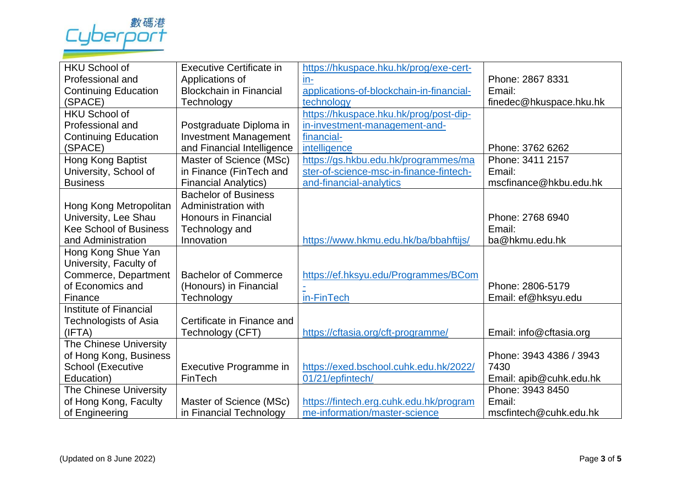

| <b>HKU School of</b>          | Executive Certificate in       | https://hkuspace.hku.hk/prog/exe-cert-   |                         |
|-------------------------------|--------------------------------|------------------------------------------|-------------------------|
| Professional and              | Applications of                | $in-$                                    | Phone: 2867 8331        |
| <b>Continuing Education</b>   | <b>Blockchain in Financial</b> | applications-of-blockchain-in-financial- | Email:                  |
| (SPACE)                       | Technology                     | technology                               | finedec@hkuspace.hku.hk |
| <b>HKU School of</b>          |                                | https://hkuspace.hku.hk/prog/post-dip-   |                         |
| Professional and              | Postgraduate Diploma in        | in-investment-management-and-            |                         |
| <b>Continuing Education</b>   | <b>Investment Management</b>   | financial-                               |                         |
| (SPACE)                       | and Financial Intelligence     | intelligence                             | Phone: 3762 6262        |
| Hong Kong Baptist             | Master of Science (MSc)        | https://gs.hkbu.edu.hk/programmes/ma     | Phone: 3411 2157        |
| University, School of         | in Finance (FinTech and        | ster-of-science-msc-in-finance-fintech-  | Email:                  |
| <b>Business</b>               | <b>Financial Analytics)</b>    | and-financial-analytics                  | mscfinance@hkbu.edu.hk  |
|                               | <b>Bachelor of Business</b>    |                                          |                         |
| Hong Kong Metropolitan        | Administration with            |                                          |                         |
| University, Lee Shau          | <b>Honours in Financial</b>    |                                          | Phone: 2768 6940        |
| <b>Kee School of Business</b> | Technology and                 |                                          | Email:                  |
| and Administration            | Innovation                     | https://www.hkmu.edu.hk/ba/bbahftijs/    | ba@hkmu.edu.hk          |
| Hong Kong Shue Yan            |                                |                                          |                         |
| University, Faculty of        |                                |                                          |                         |
| Commerce, Department          | <b>Bachelor of Commerce</b>    | https://ef.hksyu.edu/Programmes/BCom     |                         |
| of Economics and              | (Honours) in Financial         |                                          | Phone: 2806-5179        |
| Finance                       | Technology                     | in-FinTech                               | Email: ef@hksyu.edu     |
| Institute of Financial        |                                |                                          |                         |
| Technologists of Asia         | Certificate in Finance and     |                                          |                         |
| (IFTA)                        | Technology (CFT)               | https://cftasia.org/cft-programme/       | Email: info@cftasia.org |
| The Chinese University        |                                |                                          |                         |
| of Hong Kong, Business        |                                |                                          | Phone: 3943 4386 / 3943 |
| School (Executive             | Executive Programme in         | https://exed.bschool.cuhk.edu.hk/2022/   | 7430                    |
| Education)                    | FinTech                        | 01/21/epfintech/                         | Email: apib@cuhk.edu.hk |
| The Chinese University        |                                |                                          | Phone: 3943 8450        |
| of Hong Kong, Faculty         | Master of Science (MSc)        | https://fintech.erg.cuhk.edu.hk/program  | Email:                  |
| of Engineering                | in Financial Technology        | me-information/master-science            | mscfintech@cuhk.edu.hk  |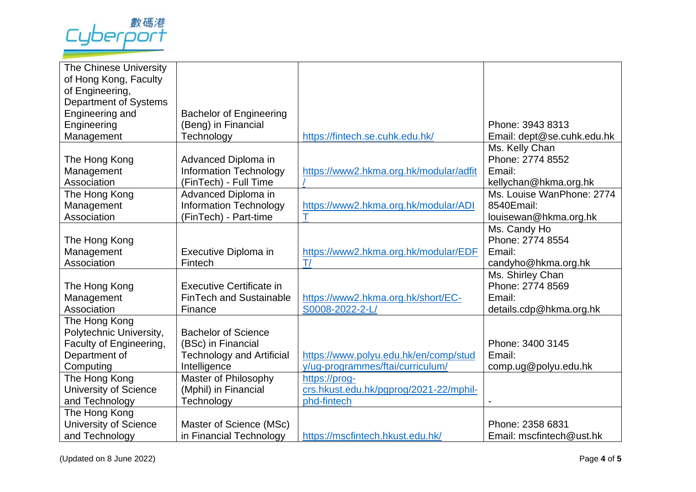

| The Chinese University       |                                  |                                        |                            |
|------------------------------|----------------------------------|----------------------------------------|----------------------------|
| of Hong Kong, Faculty        |                                  |                                        |                            |
| of Engineering,              |                                  |                                        |                            |
| Department of Systems        |                                  |                                        |                            |
| Engineering and              | <b>Bachelor of Engineering</b>   |                                        |                            |
| Engineering                  | (Beng) in Financial              |                                        | Phone: 3943 8313           |
| Management                   | Technology                       | https://fintech.se.cuhk.edu.hk/        | Email: dept@se.cuhk.edu.hk |
|                              |                                  |                                        | Ms. Kelly Chan             |
| The Hong Kong                | Advanced Diploma in              |                                        | Phone: 2774 8552           |
| Management                   | <b>Information Technology</b>    | https://www2.hkma.org.hk/modular/adfit | Email:                     |
| Association                  | (FinTech) - Full Time            |                                        | kellychan@hkma.org.hk      |
| The Hong Kong                | Advanced Diploma in              |                                        | Ms. Louise WanPhone: 2774  |
| Management                   | <b>Information Technology</b>    | https://www2.hkma.org.hk/modular/ADI   | 8540Email:                 |
| Association                  | (FinTech) - Part-time            | т                                      | louisewan@hkma.org.hk      |
|                              |                                  |                                        | Ms. Candy Ho               |
| The Hong Kong                |                                  |                                        | Phone: 2774 8554           |
| Management                   | Executive Diploma in             | https://www2.hkma.org.hk/modular/EDF   | Email:                     |
| Association                  | Fintech                          | T/                                     | candyho@hkma.org.hk        |
|                              |                                  |                                        | Ms. Shirley Chan           |
| The Hong Kong                | <b>Executive Certificate in</b>  |                                        | Phone: 2774 8569           |
| Management                   | <b>FinTech and Sustainable</b>   | https://www2.hkma.org.hk/short/EC-     | Email:                     |
| Association                  | Finance                          | S0008-2022-2-L                         | details.cdp@hkma.org.hk    |
| The Hong Kong                |                                  |                                        |                            |
| Polytechnic University,      | <b>Bachelor of Science</b>       |                                        |                            |
| Faculty of Engineering,      | (BSc) in Financial               |                                        | Phone: 3400 3145           |
| Department of                | <b>Technology and Artificial</b> | https://www.polyu.edu.hk/en/comp/stud  | Email:                     |
| Computing                    | Intelligence                     | y/ug-programmes/ftai/curriculum/       | comp.ug@polyu.edu.hk       |
| The Hong Kong                | Master of Philosophy             | https://proq-                          |                            |
| University of Science        | (Mphil) in Financial             | crs.hkust.edu.hk/pgprog/2021-22/mphil- |                            |
| and Technology               | Technology                       | phd-fintech                            |                            |
| The Hong Kong                |                                  |                                        |                            |
| <b>University of Science</b> | Master of Science (MSc)          |                                        | Phone: 2358 6831           |
| and Technology               | in Financial Technology          | https://mscfintech.hkust.edu.hk/       | Email: mscfintech@ust.hk   |